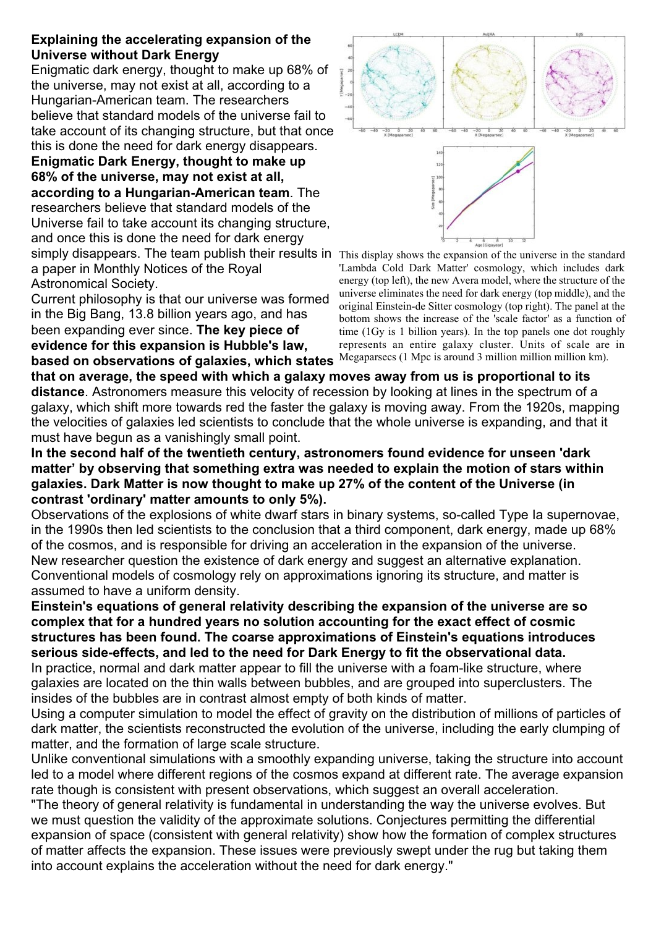## **Explaining the accelerating expansion of the Universe without Dark Energy**

Enigmatic dark energy, thought to make up 68% of the universe, may not exist at all, according to a Hungarian-American team. The researchers believe that standard models of the universe fail to take account of its changing structure, but that once this is done the need for dark energy disappears.

simply disappears. The team publish their results in This display shows the expansion of the universe in the standard **Enigmatic Dark Energy, thought to make up 68% of the universe, may not exist at all, according to a Hungarian-American team**. The researchers believe that standard models of the Universe fail to take account its changing structure, and once this is done the need for dark energy a paper in Monthly Notices of the Royal Astronomical Society.

Current philosophy is that our universe was formed in the Big Bang, 13.8 billion years ago, and has been expanding ever since. **The key piece of evidence for this expansion is Hubble's law, based on observations of galaxies, which states**



'Lambda Cold Dark Matter' cosmology, which includes dark energy (top left), the new Avera model, where the structure of the universe eliminates the need for dark energy (top middle), and the original Einstein-de Sitter cosmology (top right). The panel at the bottom shows the increase of the 'scale factor' as a function of time (1Gy is 1 billion years). In the top panels one dot roughly represents an entire galaxy cluster. Units of scale are in Megaparsecs (1 Mpc is around 3 million million million km).

**that on average, the speed with which a galaxy moves away from us is proportional to its distance**. Astronomers measure this velocity of recession by looking at lines in the spectrum of a galaxy, which shift more towards red the faster the galaxy is moving away. From the 1920s, mapping the velocities of galaxies led scientists to conclude that the whole universe is expanding, and that it must have begun as a vanishingly small point.

**In the second half of the twentieth century, astronomers found evidence for unseen 'dark matter' by observing that something extra was needed to explain the motion of stars within galaxies. Dark Matter is now thought to make up 27% of the content of the Universe (in contrast 'ordinary' matter amounts to only 5%).**

Observations of the explosions of white dwarf stars in binary systems, so-called Type Ia supernovae, in the 1990s then led scientists to the conclusion that a third component, dark energy, made up 68% of the cosmos, and is responsible for driving an acceleration in the expansion of the universe. New researcher question the existence of dark energy and suggest an alternative explanation. Conventional models of cosmology rely on approximations ignoring its structure, and matter is assumed to have a uniform density.

**Einstein's equations of general relativity describing the expansion of the universe are so complex that for a hundred years no solution accounting for the exact effect of cosmic structures has been found. The coarse approximations of Einstein's equations introduces serious side-effects, and led to the need for Dark Energy to fit the observational data.** In practice, normal and dark matter appear to fill the universe with a foam-like structure, where galaxies are located on the thin walls between bubbles, and are grouped into superclusters. The insides of the bubbles are in contrast almost empty of both kinds of matter.

Using a computer simulation to model the effect of gravity on the distribution of millions of particles of dark matter, the scientists reconstructed the evolution of the universe, including the early clumping of matter, and the formation of large scale structure.

Unlike conventional simulations with a smoothly expanding universe, taking the structure into account led to a model where different regions of the cosmos expand at different rate. The average expansion rate though is consistent with present observations, which suggest an overall acceleration.

"The theory of general relativity is fundamental in understanding the way the universe evolves. But we must question the validity of the approximate solutions. Conjectures permitting the differential expansion of space (consistent with general relativity) show how the formation of complex structures of matter affects the expansion. These issues were previously swept under the rug but taking them into account explains the acceleration without the need for dark energy."